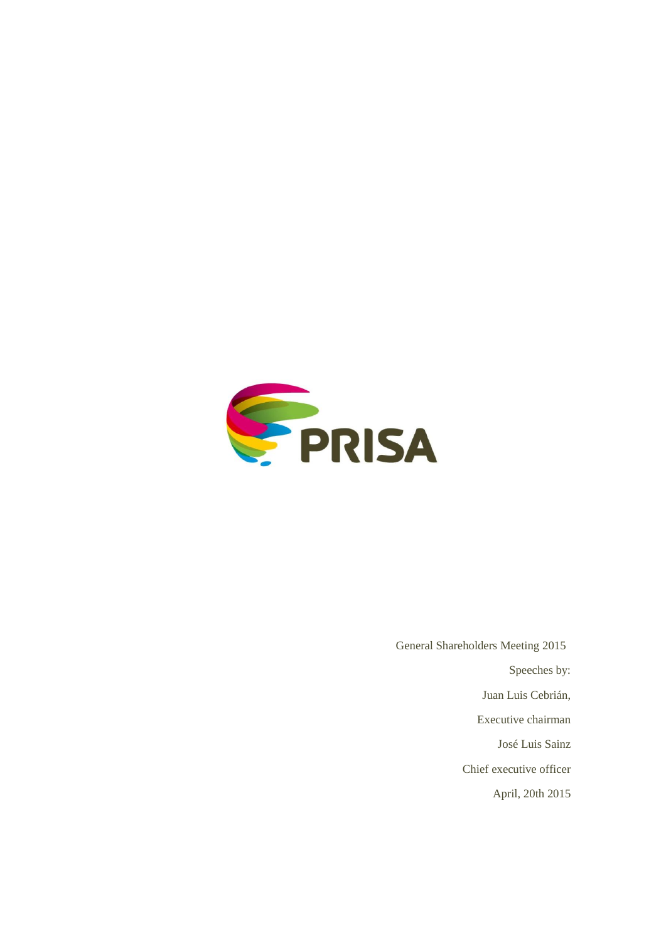

 General Shareholders Meeting 2015 Speeches by: Juan Luis Cebrián, Executive chairman José Luis Sainz Chief executive officer April, 20th 2015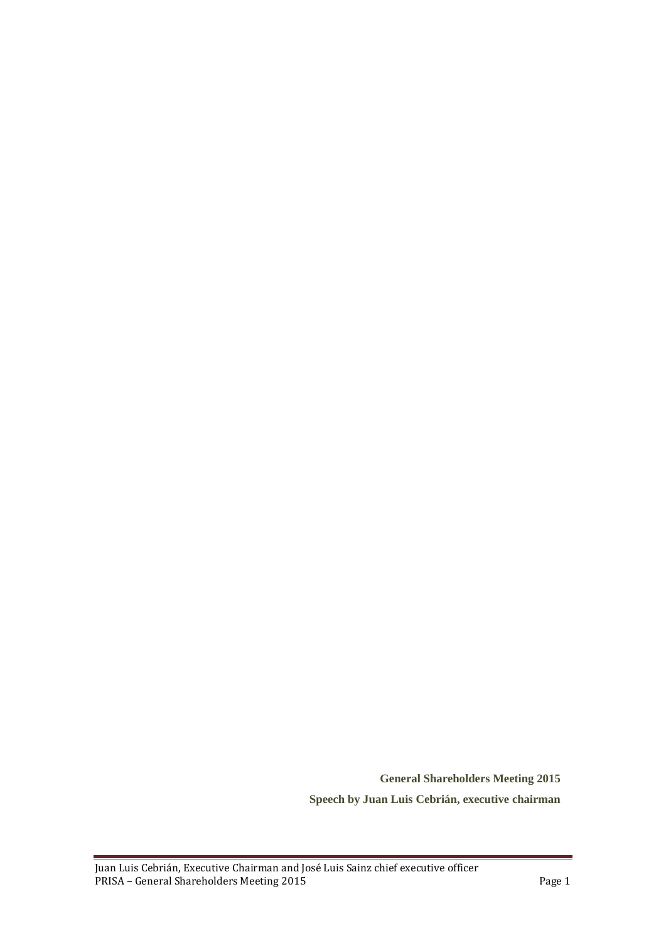**General Shareholders Meeting 2015 Speech by Juan Luis Cebrián, executive chairman**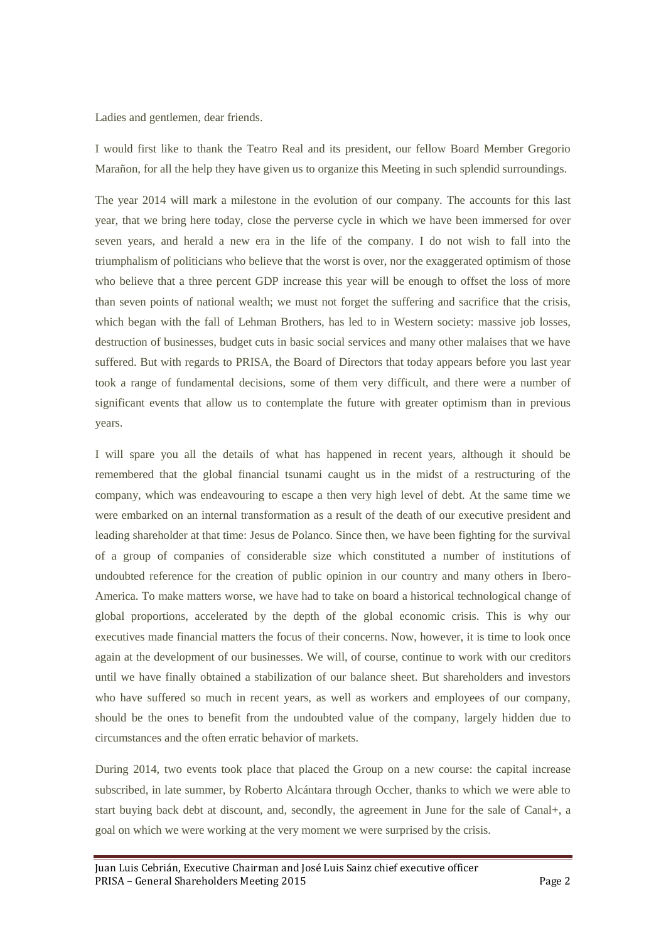Ladies and gentlemen, dear friends.

I would first like to thank the Teatro Real and its president, our fellow Board Member Gregorio Marañon, for all the help they have given us to organize this Meeting in such splendid surroundings.

The year 2014 will mark a milestone in the evolution of our company. The accounts for this last year, that we bring here today, close the perverse cycle in which we have been immersed for over seven years, and herald a new era in the life of the company. I do not wish to fall into the triumphalism of politicians who believe that the worst is over, nor the exaggerated optimism of those who believe that a three percent GDP increase this year will be enough to offset the loss of more than seven points of national wealth; we must not forget the suffering and sacrifice that the crisis, which began with the fall of Lehman Brothers, has led to in Western society: massive job losses, destruction of businesses, budget cuts in basic social services and many other malaises that we have suffered. But with regards to PRISA, the Board of Directors that today appears before you last year took a range of fundamental decisions, some of them very difficult, and there were a number of significant events that allow us to contemplate the future with greater optimism than in previous years.

I will spare you all the details of what has happened in recent years, although it should be remembered that the global financial tsunami caught us in the midst of a restructuring of the company, which was endeavouring to escape a then very high level of debt. At the same time we were embarked on an internal transformation as a result of the death of our executive president and leading shareholder at that time: Jesus de Polanco. Since then, we have been fighting for the survival of a group of companies of considerable size which constituted a number of institutions of undoubted reference for the creation of public opinion in our country and many others in Ibero-America. To make matters worse, we have had to take on board a historical technological change of global proportions, accelerated by the depth of the global economic crisis. This is why our executives made financial matters the focus of their concerns. Now, however, it is time to look once again at the development of our businesses. We will, of course, continue to work with our creditors until we have finally obtained a stabilization of our balance sheet. But shareholders and investors who have suffered so much in recent years, as well as workers and employees of our company, should be the ones to benefit from the undoubted value of the company, largely hidden due to circumstances and the often erratic behavior of markets.

During 2014, two events took place that placed the Group on a new course: the capital increase subscribed, in late summer, by Roberto Alcántara through Occher, thanks to which we were able to start buying back debt at discount, and, secondly, the agreement in June for the sale of Canal+, a goal on which we were working at the very moment we were surprised by the crisis.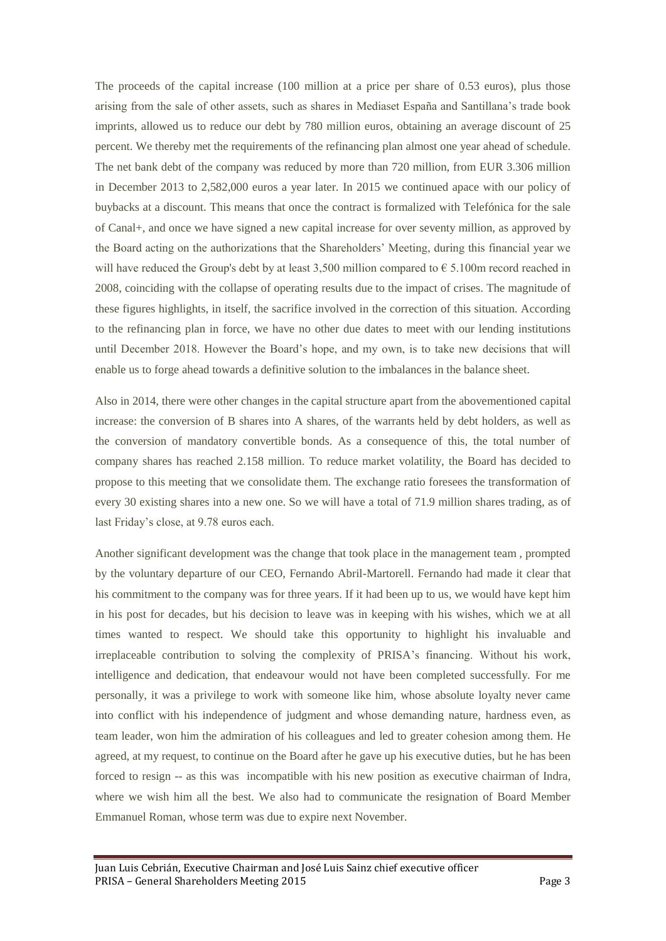The proceeds of the capital increase (100 million at a price per share of 0.53 euros), plus those arising from the sale of other assets, such as shares in Mediaset España and Santillana's trade book imprints, allowed us to reduce our debt by 780 million euros, obtaining an average discount of 25 percent. We thereby met the requirements of the refinancing plan almost one year ahead of schedule. The net bank debt of the company was reduced by more than 720 million, from EUR 3.306 million in December 2013 to 2,582,000 euros a year later. In 2015 we continued apace with our policy of buybacks at a discount. This means that once the contract is formalized with Telefónica for the sale of Canal+, and once we have signed a new capital increase for over seventy million, as approved by the Board acting on the authorizations that the Shareholders' Meeting, during this financial year we will have reduced the Group's debt by at least 3,500 million compared to  $\epsilon$  5.100m record reached in 2008, coinciding with the collapse of operating results due to the impact of crises. The magnitude of these figures highlights, in itself, the sacrifice involved in the correction of this situation. According to the refinancing plan in force, we have no other due dates to meet with our lending institutions until December 2018. However the Board's hope, and my own, is to take new decisions that will enable us to forge ahead towards a definitive solution to the imbalances in the balance sheet.

Also in 2014, there were other changes in the capital structure apart from the abovementioned capital increase: the conversion of B shares into A shares, of the warrants held by debt holders, as well as the conversion of mandatory convertible bonds. As a consequence of this, the total number of company shares has reached 2.158 million. To reduce market volatility, the Board has decided to propose to this meeting that we consolidate them. The exchange ratio foresees the transformation of every 30 existing shares into a new one. So we will have a total of 71.9 million shares trading, as of last Friday's close, at 9.78 euros each.

Another significant development was the change that took place in the management team , prompted by the voluntary departure of our CEO, Fernando Abril-Martorell. Fernando had made it clear that his commitment to the company was for three years. If it had been up to us, we would have kept him in his post for decades, but his decision to leave was in keeping with his wishes, which we at all times wanted to respect. We should take this opportunity to highlight his invaluable and irreplaceable contribution to solving the complexity of PRISA's financing. Without his work, intelligence and dedication, that endeavour would not have been completed successfully. For me personally, it was a privilege to work with someone like him, whose absolute loyalty never came into conflict with his independence of judgment and whose demanding nature, hardness even, as team leader, won him the admiration of his colleagues and led to greater cohesion among them. He agreed, at my request, to continue on the Board after he gave up his executive duties, but he has been forced to resign -- as this was incompatible with his new position as executive chairman of Indra, where we wish him all the best. We also had to communicate the resignation of Board Member Emmanuel Roman, whose term was due to expire next November.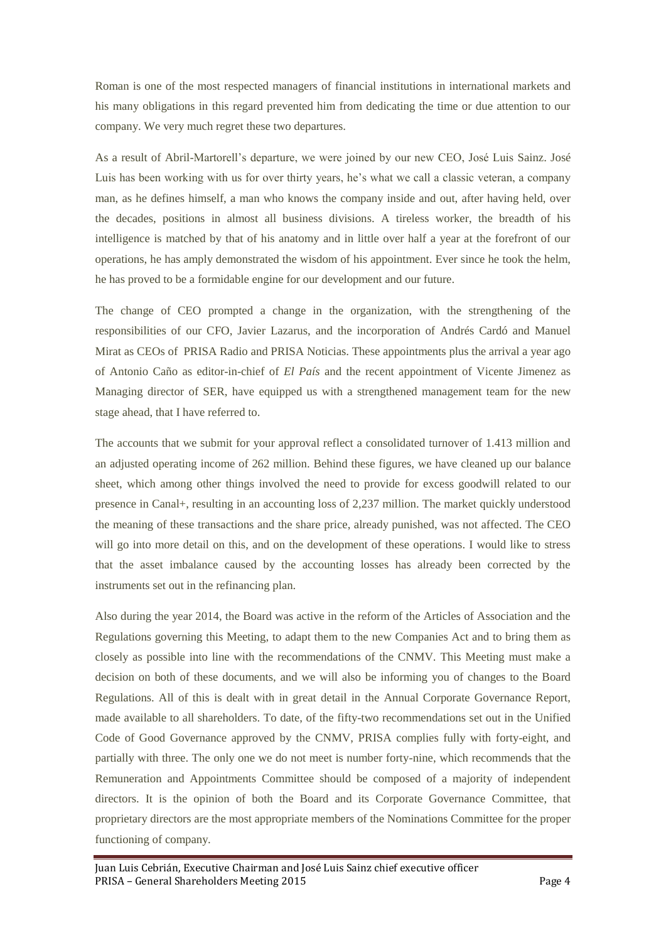Roman is one of the most respected managers of financial institutions in international markets and his many obligations in this regard prevented him from dedicating the time or due attention to our company. We very much regret these two departures.

As a result of Abril-Martorell's departure, we were joined by our new CEO, José Luis Sainz. José Luis has been working with us for over thirty years, he's what we call a classic veteran, a company man, as he defines himself, a man who knows the company inside and out, after having held, over the decades, positions in almost all business divisions. A tireless worker, the breadth of his intelligence is matched by that of his anatomy and in little over half a year at the forefront of our operations, he has amply demonstrated the wisdom of his appointment. Ever since he took the helm, he has proved to be a formidable engine for our development and our future.

The change of CEO prompted a change in the organization, with the strengthening of the responsibilities of our CFO, Javier Lazarus, and the incorporation of Andrés Cardó and Manuel Mirat as CEOs of PRISA Radio and PRISA Noticias. These appointments plus the arrival a year ago of Antonio Caño as editor-in-chief of *El País* and the recent appointment of Vicente Jimenez as Managing director of SER, have equipped us with a strengthened management team for the new stage ahead, that I have referred to.

The accounts that we submit for your approval reflect a consolidated turnover of 1.413 million and an adjusted operating income of 262 million. Behind these figures, we have cleaned up our balance sheet, which among other things involved the need to provide for excess goodwill related to our presence in Canal+, resulting in an accounting loss of 2,237 million. The market quickly understood the meaning of these transactions and the share price, already punished, was not affected. The CEO will go into more detail on this, and on the development of these operations. I would like to stress that the asset imbalance caused by the accounting losses has already been corrected by the instruments set out in the refinancing plan.

Also during the year 2014, the Board was active in the reform of the Articles of Association and the Regulations governing this Meeting, to adapt them to the new Companies Act and to bring them as closely as possible into line with the recommendations of the CNMV. This Meeting must make a decision on both of these documents, and we will also be informing you of changes to the Board Regulations. All of this is dealt with in great detail in the Annual Corporate Governance Report, made available to all shareholders. To date, of the fifty-two recommendations set out in the Unified Code of Good Governance approved by the CNMV, PRISA complies fully with forty-eight, and partially with three. The only one we do not meet is number forty-nine, which recommends that the Remuneration and Appointments Committee should be composed of a majority of independent directors. It is the opinion of both the Board and its Corporate Governance Committee, that proprietary directors are the most appropriate members of the Nominations Committee for the proper functioning of company.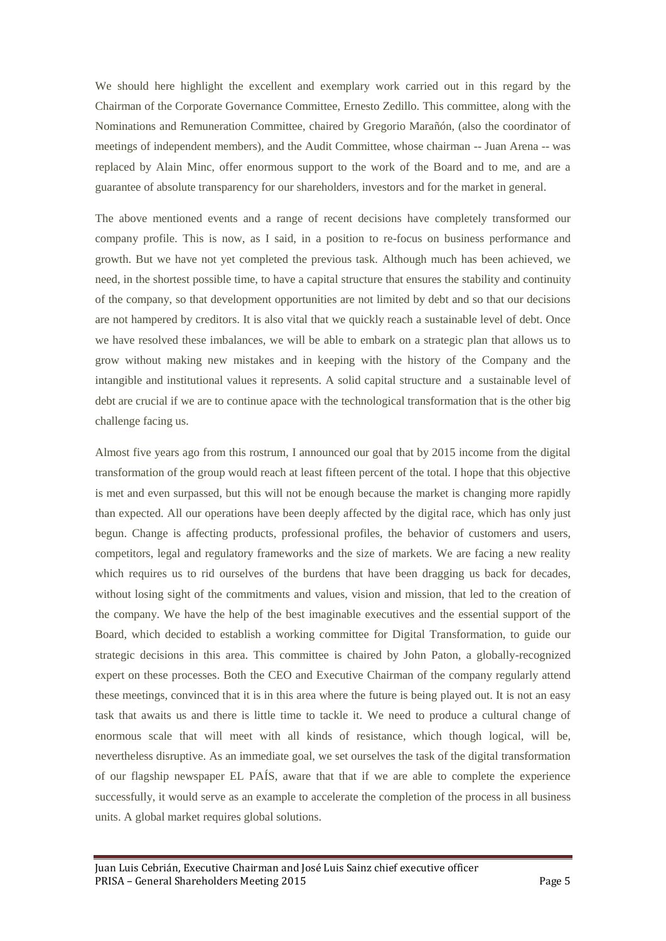We should here highlight the excellent and exemplary work carried out in this regard by the Chairman of the Corporate Governance Committee, Ernesto Zedillo. This committee, along with the Nominations and Remuneration Committee, chaired by Gregorio Marañón, (also the coordinator of meetings of independent members), and the Audit Committee, whose chairman -- Juan Arena -- was replaced by Alain Minc, offer enormous support to the work of the Board and to me, and are a guarantee of absolute transparency for our shareholders, investors and for the market in general.

The above mentioned events and a range of recent decisions have completely transformed our company profile. This is now, as I said, in a position to re-focus on business performance and growth. But we have not yet completed the previous task. Although much has been achieved, we need, in the shortest possible time, to have a capital structure that ensures the stability and continuity of the company, so that development opportunities are not limited by debt and so that our decisions are not hampered by creditors. It is also vital that we quickly reach a sustainable level of debt. Once we have resolved these imbalances, we will be able to embark on a strategic plan that allows us to grow without making new mistakes and in keeping with the history of the Company and the intangible and institutional values it represents. A solid capital structure and a sustainable level of debt are crucial if we are to continue apace with the technological transformation that is the other big challenge facing us.

Almost five years ago from this rostrum, I announced our goal that by 2015 income from the digital transformation of the group would reach at least fifteen percent of the total. I hope that this objective is met and even surpassed, but this will not be enough because the market is changing more rapidly than expected. All our operations have been deeply affected by the digital race, which has only just begun. Change is affecting products, professional profiles, the behavior of customers and users, competitors, legal and regulatory frameworks and the size of markets. We are facing a new reality which requires us to rid ourselves of the burdens that have been dragging us back for decades, without losing sight of the commitments and values, vision and mission, that led to the creation of the company. We have the help of the best imaginable executives and the essential support of the Board, which decided to establish a working committee for Digital Transformation, to guide our strategic decisions in this area. This committee is chaired by John Paton, a globally-recognized expert on these processes. Both the CEO and Executive Chairman of the company regularly attend these meetings, convinced that it is in this area where the future is being played out. It is not an easy task that awaits us and there is little time to tackle it. We need to produce a cultural change of enormous scale that will meet with all kinds of resistance, which though logical, will be, nevertheless disruptive. As an immediate goal, we set ourselves the task of the digital transformation of our flagship newspaper EL PAÍS, aware that that if we are able to complete the experience successfully, it would serve as an example to accelerate the completion of the process in all business units. A global market requires global solutions.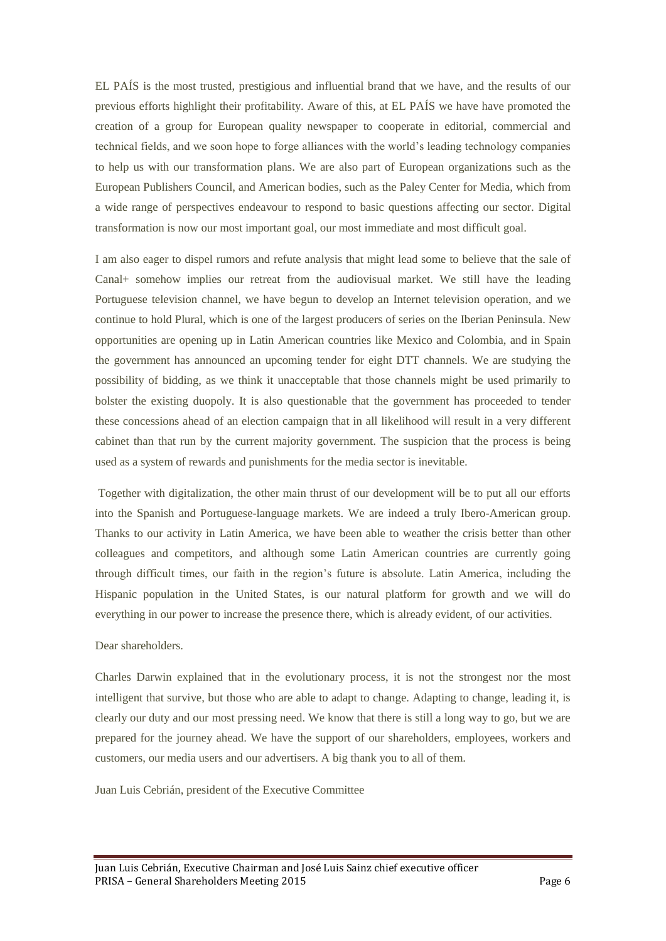EL PAÍS is the most trusted, prestigious and influential brand that we have, and the results of our previous efforts highlight their profitability. Aware of this, at EL PAÍS we have have promoted the creation of a group for European quality newspaper to cooperate in editorial, commercial and technical fields, and we soon hope to forge alliances with the world's leading technology companies to help us with our transformation plans. We are also part of European organizations such as the European Publishers Council, and American bodies, such as the Paley Center for Media, which from a wide range of perspectives endeavour to respond to basic questions affecting our sector. Digital transformation is now our most important goal, our most immediate and most difficult goal.

I am also eager to dispel rumors and refute analysis that might lead some to believe that the sale of Canal+ somehow implies our retreat from the audiovisual market. We still have the leading Portuguese television channel, we have begun to develop an Internet television operation, and we continue to hold Plural, which is one of the largest producers of series on the Iberian Peninsula. New opportunities are opening up in Latin American countries like Mexico and Colombia, and in Spain the government has announced an upcoming tender for eight DTT channels. We are studying the possibility of bidding, as we think it unacceptable that those channels might be used primarily to bolster the existing duopoly. It is also questionable that the government has proceeded to tender these concessions ahead of an election campaign that in all likelihood will result in a very different cabinet than that run by the current majority government. The suspicion that the process is being used as a system of rewards and punishments for the media sector is inevitable.

Together with digitalization, the other main thrust of our development will be to put all our efforts into the Spanish and Portuguese-language markets. We are indeed a truly Ibero-American group. Thanks to our activity in Latin America, we have been able to weather the crisis better than other colleagues and competitors, and although some Latin American countries are currently going through difficult times, our faith in the region's future is absolute. Latin America, including the Hispanic population in the United States, is our natural platform for growth and we will do everything in our power to increase the presence there, which is already evident, of our activities.

## Dear shareholders.

Charles Darwin explained that in the evolutionary process, it is not the strongest nor the most intelligent that survive, but those who are able to adapt to change. Adapting to change, leading it, is clearly our duty and our most pressing need. We know that there is still a long way to go, but we are prepared for the journey ahead. We have the support of our shareholders, employees, workers and customers, our media users and our advertisers. A big thank you to all of them.

Juan Luis Cebrián, president of the Executive Committee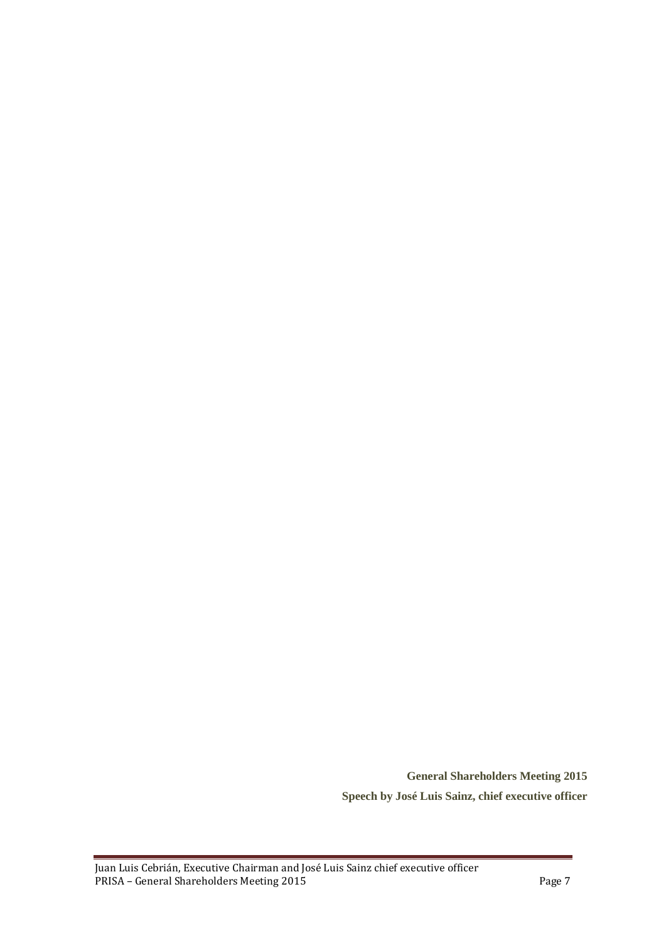**General Shareholders Meeting 2015 Speech by José Luis Sainz, chief executive officer**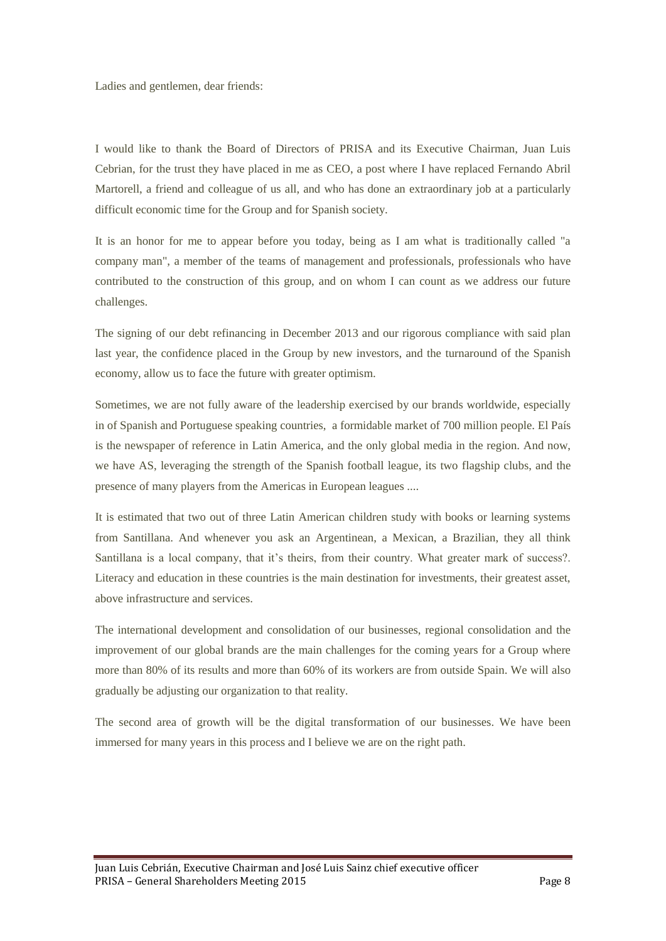Ladies and gentlemen, dear friends:

I would like to thank the Board of Directors of PRISA and its Executive Chairman, Juan Luis Cebrian, for the trust they have placed in me as CEO, a post where I have replaced Fernando Abril Martorell, a friend and colleague of us all, and who has done an extraordinary job at a particularly difficult economic time for the Group and for Spanish society.

It is an honor for me to appear before you today, being as I am what is traditionally called "a company man", a member of the teams of management and professionals, professionals who have contributed to the construction of this group, and on whom I can count as we address our future challenges.

The signing of our debt refinancing in December 2013 and our rigorous compliance with said plan last year, the confidence placed in the Group by new investors, and the turnaround of the Spanish economy, allow us to face the future with greater optimism.

Sometimes, we are not fully aware of the leadership exercised by our brands worldwide, especially in of Spanish and Portuguese speaking countries, a formidable market of 700 million people. El País is the newspaper of reference in Latin America, and the only global media in the region. And now, we have AS, leveraging the strength of the Spanish football league, its two flagship clubs, and the presence of many players from the Americas in European leagues ....

It is estimated that two out of three Latin American children study with books or learning systems from Santillana. And whenever you ask an Argentinean, a Mexican, a Brazilian, they all think Santillana is a local company, that it's theirs, from their country. What greater mark of success?. Literacy and education in these countries is the main destination for investments, their greatest asset, above infrastructure and services.

The international development and consolidation of our businesses, regional consolidation and the improvement of our global brands are the main challenges for the coming years for a Group where more than 80% of its results and more than 60% of its workers are from outside Spain. We will also gradually be adjusting our organization to that reality.

The second area of growth will be the digital transformation of our businesses. We have been immersed for many years in this process and I believe we are on the right path.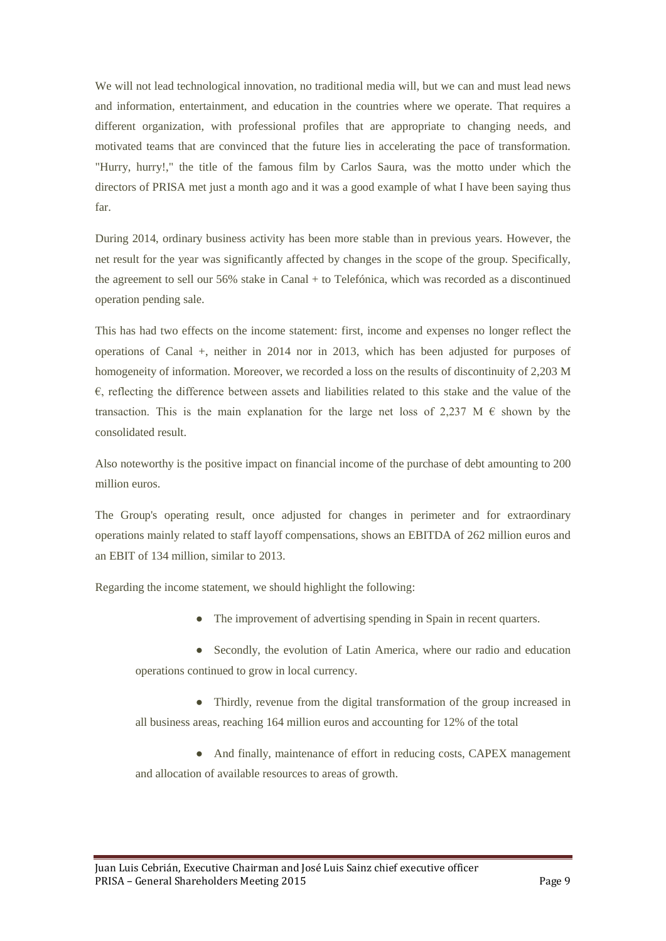We will not lead technological innovation, no traditional media will, but we can and must lead news and information, entertainment, and education in the countries where we operate. That requires a different organization, with professional profiles that are appropriate to changing needs, and motivated teams that are convinced that the future lies in accelerating the pace of transformation. "Hurry, hurry!," the title of the famous film by Carlos Saura, was the motto under which the directors of PRISA met just a month ago and it was a good example of what I have been saying thus far.

During 2014, ordinary business activity has been more stable than in previous years. However, the net result for the year was significantly affected by changes in the scope of the group. Specifically, the agreement to sell our 56% stake in Canal + to Telefónica, which was recorded as a discontinued operation pending sale.

This has had two effects on the income statement: first, income and expenses no longer reflect the operations of Canal +, neither in 2014 nor in 2013, which has been adjusted for purposes of homogeneity of information. Moreover, we recorded a loss on the results of discontinuity of 2,203 M  $\epsilon$ , reflecting the difference between assets and liabilities related to this stake and the value of the transaction. This is the main explanation for the large net loss of 2.237 M  $\epsilon$  shown by the consolidated result.

Also noteworthy is the positive impact on financial income of the purchase of debt amounting to 200 million euros.

The Group's operating result, once adjusted for changes in perimeter and for extraordinary operations mainly related to staff layoff compensations, shows an EBITDA of 262 million euros and an EBIT of 134 million, similar to 2013.

Regarding the income statement, we should highlight the following:

• The improvement of advertising spending in Spain in recent quarters.

● Secondly, the evolution of Latin America, where our radio and education operations continued to grow in local currency.

• Thirdly, revenue from the digital transformation of the group increased in all business areas, reaching 164 million euros and accounting for 12% of the total

● And finally, maintenance of effort in reducing costs, CAPEX management and allocation of available resources to areas of growth.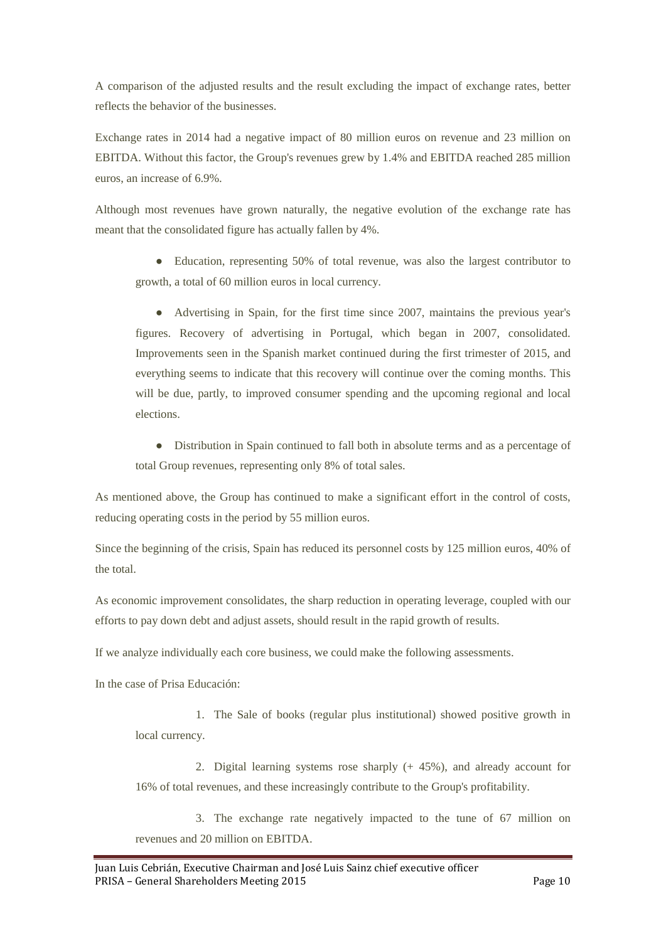A comparison of the adjusted results and the result excluding the impact of exchange rates, better reflects the behavior of the businesses.

Exchange rates in 2014 had a negative impact of 80 million euros on revenue and 23 million on EBITDA. Without this factor, the Group's revenues grew by 1.4% and EBITDA reached 285 million euros, an increase of 6.9%.

Although most revenues have grown naturally, the negative evolution of the exchange rate has meant that the consolidated figure has actually fallen by 4%.

• Education, representing 50% of total revenue, was also the largest contributor to growth, a total of 60 million euros in local currency.

● Advertising in Spain, for the first time since 2007, maintains the previous year's figures. Recovery of advertising in Portugal, which began in 2007, consolidated. Improvements seen in the Spanish market continued during the first trimester of 2015, and everything seems to indicate that this recovery will continue over the coming months. This will be due, partly, to improved consumer spending and the upcoming regional and local elections.

● Distribution in Spain continued to fall both in absolute terms and as a percentage of total Group revenues, representing only 8% of total sales.

As mentioned above, the Group has continued to make a significant effort in the control of costs, reducing operating costs in the period by 55 million euros.

Since the beginning of the crisis, Spain has reduced its personnel costs by 125 million euros, 40% of the total.

As economic improvement consolidates, the sharp reduction in operating leverage, coupled with our efforts to pay down debt and adjust assets, should result in the rapid growth of results.

If we analyze individually each core business, we could make the following assessments.

In the case of Prisa Educación:

1. The Sale of books (regular plus institutional) showed positive growth in local currency.

2. Digital learning systems rose sharply (+ 45%), and already account for 16% of total revenues, and these increasingly contribute to the Group's profitability.

3. The exchange rate negatively impacted to the tune of 67 million on revenues and 20 million on EBITDA.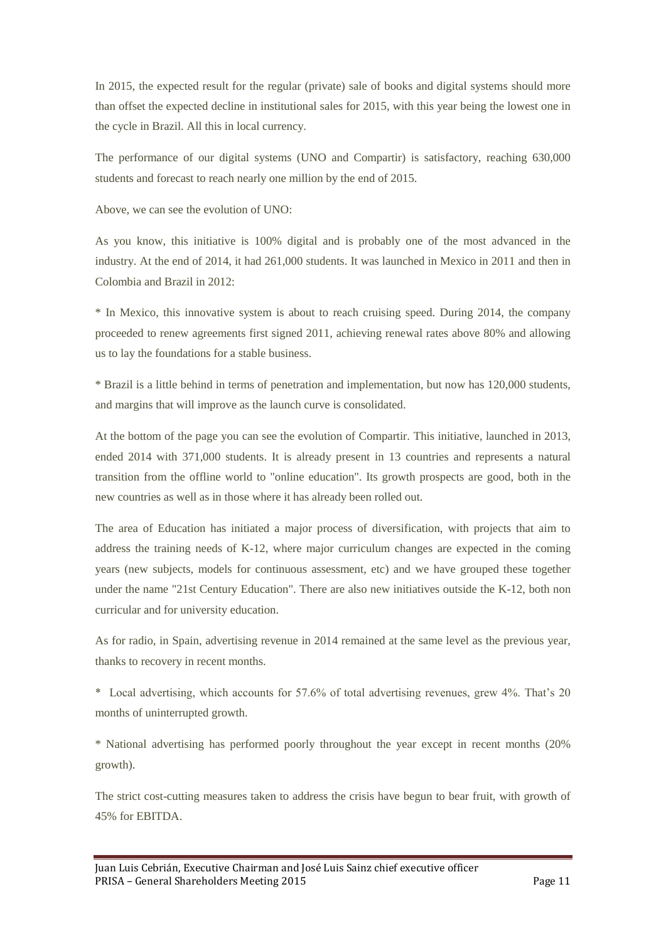In 2015, the expected result for the regular (private) sale of books and digital systems should more than offset the expected decline in institutional sales for 2015, with this year being the lowest one in the cycle in Brazil. All this in local currency.

The performance of our digital systems (UNO and Compartir) is satisfactory, reaching 630,000 students and forecast to reach nearly one million by the end of 2015.

Above, we can see the evolution of UNO:

As you know, this initiative is 100% digital and is probably one of the most advanced in the industry. At the end of 2014, it had 261,000 students. It was launched in Mexico in 2011 and then in Colombia and Brazil in 2012:

\* In Mexico, this innovative system is about to reach cruising speed. During 2014, the company proceeded to renew agreements first signed 2011, achieving renewal rates above 80% and allowing us to lay the foundations for a stable business.

\* Brazil is a little behind in terms of penetration and implementation, but now has 120,000 students, and margins that will improve as the launch curve is consolidated.

At the bottom of the page you can see the evolution of Compartir. This initiative, launched in 2013, ended 2014 with 371,000 students. It is already present in 13 countries and represents a natural transition from the offline world to "online education". Its growth prospects are good, both in the new countries as well as in those where it has already been rolled out.

The area of Education has initiated a major process of diversification, with projects that aim to address the training needs of K-12, where major curriculum changes are expected in the coming years (new subjects, models for continuous assessment, etc) and we have grouped these together under the name "21st Century Education". There are also new initiatives outside the K-12, both non curricular and for university education.

As for radio, in Spain, advertising revenue in 2014 remained at the same level as the previous year, thanks to recovery in recent months.

\* Local advertising, which accounts for 57.6% of total advertising revenues, grew 4%. That's 20 months of uninterrupted growth.

\* National advertising has performed poorly throughout the year except in recent months (20% growth).

The strict cost-cutting measures taken to address the crisis have begun to bear fruit, with growth of 45% for EBITDA.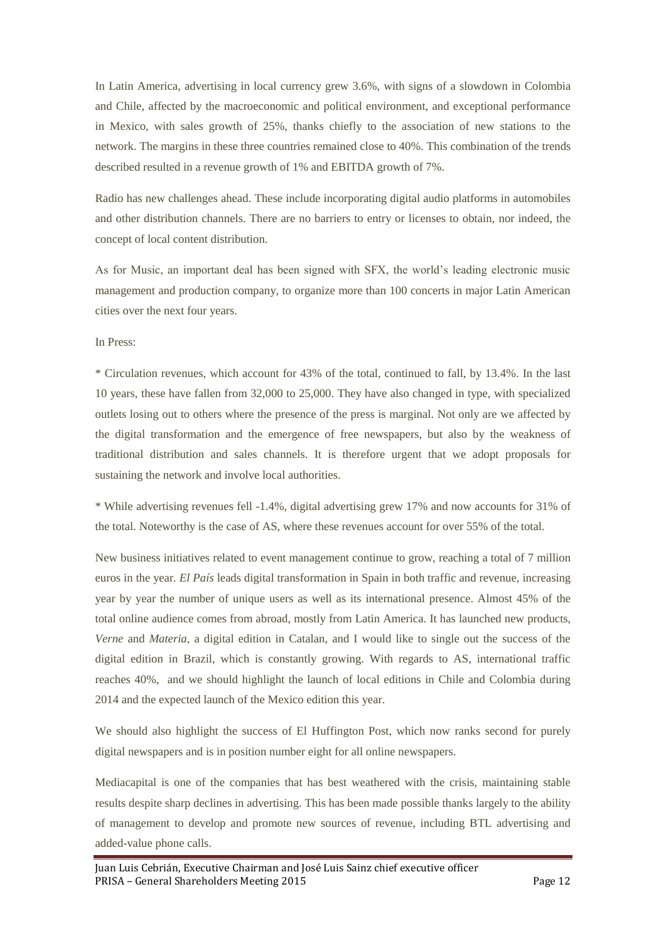In Latin America, advertising in local currency grew 3.6%, with signs of a slowdown in Colombia and Chile, affected by the macroeconomic and political environment, and exceptional performance in Mexico, with sales growth of 25%, thanks chiefly to the association of new stations to the network. The margins in these three countries remained close to 40%. This combination of the trends described resulted in a revenue growth of 1% and EBITDA growth of 7%.

Radio has new challenges ahead. These include incorporating digital audio platforms in automobiles and other distribution channels. There are no barriers to entry or licenses to obtain, nor indeed, the concept of local content distribution.

As for Music, an important deal has been signed with SFX, the world's leading electronic music management and production company, to organize more than 100 concerts in major Latin American cities over the next four years.

In Press:

\* Circulation revenues, which account for 43% of the total, continued to fall, by 13.4%. In the last 10 years, these have fallen from 32,000 to 25,000. They have also changed in type, with specialized outlets losing out to others where the presence of the press is marginal. Not only are we affected by the digital transformation and the emergence of free newspapers, but also by the weakness of traditional distribution and sales channels. It is therefore urgent that we adopt proposals for sustaining the network and involve local authorities.

\* While advertising revenues fell -1.4%, digital advertising grew 17% and now accounts for 31% of the total. Noteworthy is the case of AS, where these revenues account for over 55% of the total.

New business initiatives related to event management continue to grow, reaching a total of 7 million euros in the year*. El País* leads digital transformation in Spain in both traffic and revenue, increasing year by year the number of unique users as well as its international presence. Almost 45% of the total online audience comes from abroad, mostly from Latin America. It has launched new products, *Verne* and *Materia*, a digital edition in Catalan, and I would like to single out the success of the digital edition in Brazil, which is constantly growing. With regards to AS, international traffic reaches 40%, and we should highlight the launch of local editions in Chile and Colombia during 2014 and the expected launch of the Mexico edition this year.

We should also highlight the success of El Huffington Post, which now ranks second for purely digital newspapers and is in position number eight for all online newspapers.

Mediacapital is one of the companies that has best weathered with the crisis, maintaining stable results despite sharp declines in advertising. This has been made possible thanks largely to the ability of management to develop and promote new sources of revenue, including BTL advertising and added-value phone calls.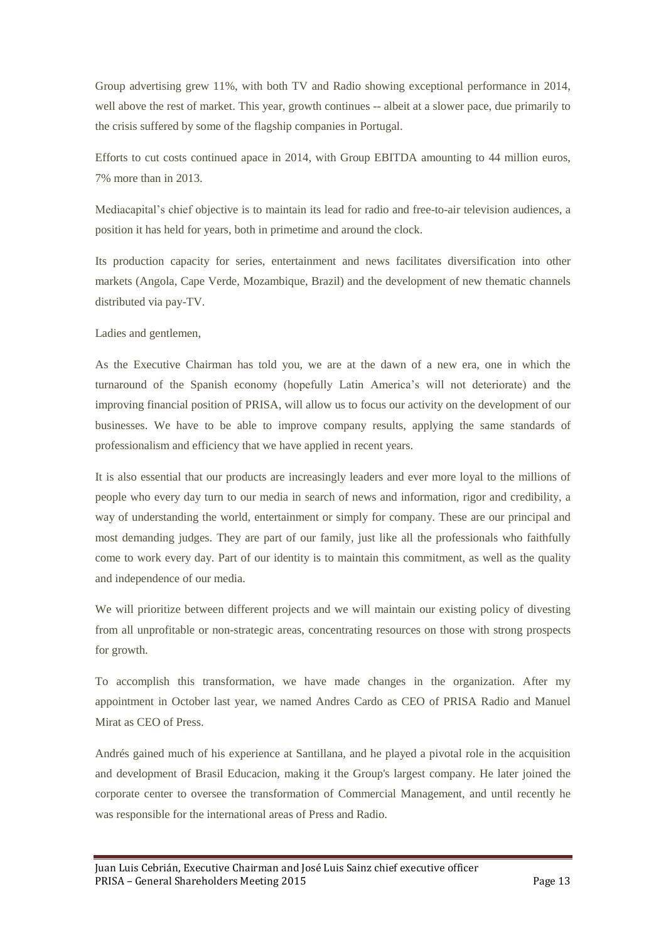Group advertising grew 11%, with both TV and Radio showing exceptional performance in 2014, well above the rest of market. This year, growth continues -- albeit at a slower pace, due primarily to the crisis suffered by some of the flagship companies in Portugal.

Efforts to cut costs continued apace in 2014, with Group EBITDA amounting to 44 million euros, 7% more than in 2013.

Mediacapital's chief objective is to maintain its lead for radio and free-to-air television audiences, a position it has held for years, both in primetime and around the clock.

Its production capacity for series, entertainment and news facilitates diversification into other markets (Angola, Cape Verde, Mozambique, Brazil) and the development of new thematic channels distributed via pay-TV.

Ladies and gentlemen,

As the Executive Chairman has told you, we are at the dawn of a new era, one in which the turnaround of the Spanish economy (hopefully Latin America's will not deteriorate) and the improving financial position of PRISA, will allow us to focus our activity on the development of our businesses. We have to be able to improve company results, applying the same standards of professionalism and efficiency that we have applied in recent years.

It is also essential that our products are increasingly leaders and ever more loyal to the millions of people who every day turn to our media in search of news and information, rigor and credibility, a way of understanding the world, entertainment or simply for company. These are our principal and most demanding judges. They are part of our family, just like all the professionals who faithfully come to work every day. Part of our identity is to maintain this commitment, as well as the quality and independence of our media.

We will prioritize between different projects and we will maintain our existing policy of divesting from all unprofitable or non-strategic areas, concentrating resources on those with strong prospects for growth.

To accomplish this transformation, we have made changes in the organization. After my appointment in October last year, we named Andres Cardo as CEO of PRISA Radio and Manuel Mirat as CEO of Press.

Andrés gained much of his experience at Santillana, and he played a pivotal role in the acquisition and development of Brasil Educacion, making it the Group's largest company. He later joined the corporate center to oversee the transformation of Commercial Management, and until recently he was responsible for the international areas of Press and Radio.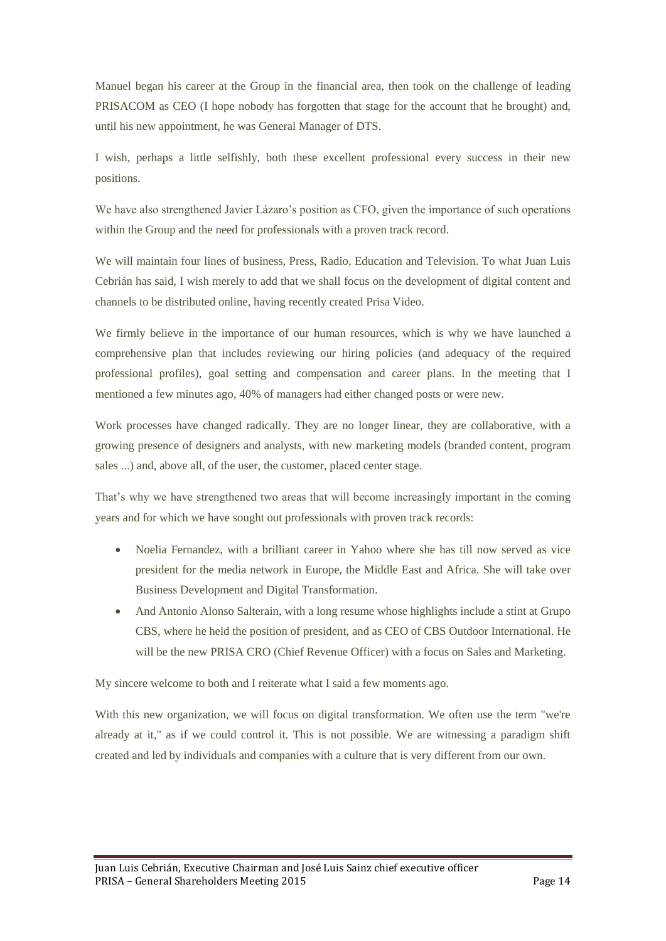Manuel began his career at the Group in the financial area, then took on the challenge of leading PRISACOM as CEO (I hope nobody has forgotten that stage for the account that he brought) and, until his new appointment, he was General Manager of DTS.

I wish, perhaps a little selfishly, both these excellent professional every success in their new positions.

We have also strengthened Javier Lázaro's position as CFO, given the importance of such operations within the Group and the need for professionals with a proven track record.

We will maintain four lines of business, Press, Radio, Education and Television. To what Juan Luis Cebrián has said, I wish merely to add that we shall focus on the development of digital content and channels to be distributed online, having recently created Prisa Video.

We firmly believe in the importance of our human resources, which is why we have launched a comprehensive plan that includes reviewing our hiring policies (and adequacy of the required professional profiles), goal setting and compensation and career plans. In the meeting that I mentioned a few minutes ago, 40% of managers had either changed posts or were new.

Work processes have changed radically. They are no longer linear, they are collaborative, with a growing presence of designers and analysts, with new marketing models (branded content, program sales ...) and, above all, of the user, the customer, placed center stage.

That's why we have strengthened two areas that will become increasingly important in the coming years and for which we have sought out professionals with proven track records:

- Noelia Fernandez, with a brilliant career in Yahoo where she has till now served as vice president for the media network in Europe, the Middle East and Africa. She will take over Business Development and Digital Transformation.
- And Antonio Alonso Salterain, with a long resume whose highlights include a stint at Grupo CBS, where he held the position of president, and as CEO of CBS Outdoor International. He will be the new PRISA CRO (Chief Revenue Officer) with a focus on Sales and Marketing.

My sincere welcome to both and I reiterate what I said a few moments ago.

With this new organization, we will focus on digital transformation. We often use the term "we're already at it," as if we could control it. This is not possible. We are witnessing a paradigm shift created and led by individuals and companies with a culture that is very different from our own.